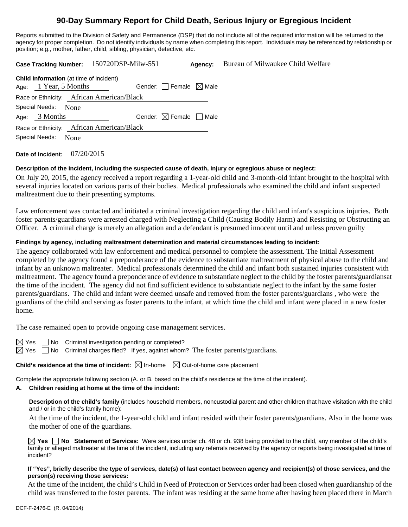# **90-Day Summary Report for Child Death, Serious Injury or Egregious Incident**

Reports submitted to the Division of Safety and Permanence (DSP) that do not include all of the required information will be returned to the agency for proper completion. Do not identify individuals by name when completing this report. Individuals may be referenced by relationship or position; e.g., mother, father, child, sibling, physician, detective, etc.

| Case Tracking Number: 150720DSP-Milw-551                                |                                        | Agency: | Bureau of Milwaukee Child Welfare |  |  |  |  |
|-------------------------------------------------------------------------|----------------------------------------|---------|-----------------------------------|--|--|--|--|
| <b>Child Information</b> (at time of incident)<br>Age: 1 Year, 5 Months | Gender: Female $\boxtimes$ Male        |         |                                   |  |  |  |  |
| Race or Ethnicity: African American/Black                               |                                        |         |                                   |  |  |  |  |
| Special Needs: None                                                     |                                        |         |                                   |  |  |  |  |
| Age: $3$ Months                                                         | Gender: $\boxtimes$ Female $\Box$ Male |         |                                   |  |  |  |  |
| Race or Ethnicity: African American/Black                               |                                        |         |                                   |  |  |  |  |
| Special Needs:<br>None                                                  |                                        |         |                                   |  |  |  |  |
|                                                                         |                                        |         |                                   |  |  |  |  |

**Date of Incident:** 07/20/2015

#### **Description of the incident, including the suspected cause of death, injury or egregious abuse or neglect:**

On July 20, 2015, the agency received a report regarding a 1-year-old child and 3-month-old infant brought to the hospital with several injuries located on various parts of their bodies. Medical professionals who examined the child and infant suspected maltreatment due to their presenting symptoms.

Law enforcement was contacted and initiated a criminal investigation regarding the child and infant's suspicious injuries. Both foster parents/guardians were arrested charged with Neglecting a Child (Causing Bodily Harm) and Resisting or Obstructing an Officer. A criminal charge is merely an allegation and a defendant is presumed innocent until and unless proven guilty

#### **Findings by agency, including maltreatment determination and material circumstances leading to incident:**

The agency collaborated with law enforcement and medical personnel to complete the assessment. The Initial Assessment completed by the agency found a preponderance of the evidence to substantiate maltreatment of physical abuse to the child and infant by an unknown maltreater. Medical professionals determined the child and infant both sustained injuries consistent with maltreatment. The agency found a preponderance of evidence to substantiate neglect to the child by the foster parents/guardiansat the time of the incident. The agency did not find sufficient evidence to substantiate neglect to the infant by the same foster parents/guardians. The child and infant were deemed unsafe and removed from the foster parents/guardians , who were the guardians of the child and serving as foster parents to the infant, at which time the child and infant were placed in a new foster home.

The case remained open to provide ongoing case management services.

 $\boxtimes$  Yes  $\Box$  No Criminal investigation pending or completed?

 $\boxtimes$  Yes  $\Box$  No Criminal charges filed? If yes, against whom? The foster parents/guardians.

**Child's residence at the time of incident:**  $\boxtimes$  In-home  $\boxtimes$  Out-of-home care placement

Complete the appropriate following section (A. or B. based on the child's residence at the time of the incident).

# **A. Children residing at home at the time of the incident:**

**Description of the child's family** (includes household members, noncustodial parent and other children that have visitation with the child and / or in the child's family home):

 At the time of the incident, the 1-year-old child and infant resided with their foster parents/guardians. Also in the home was the mother of one of the guardians.

**Yes No Statement of Services:** Were services under ch. 48 or ch. 938 being provided to the child, any member of the child's family or alleged maltreater at the time of the incident, including any referrals received by the agency or reports being investigated at time of incident?

## **If "Yes", briefly describe the type of services, date(s) of last contact between agency and recipient(s) of those services, and the person(s) receiving those services:**

At the time of the incident, the child's Child in Need of Protection or Services order had been closed when guardianship of the child was transferred to the foster parents. The infant was residing at the same home after having been placed there in March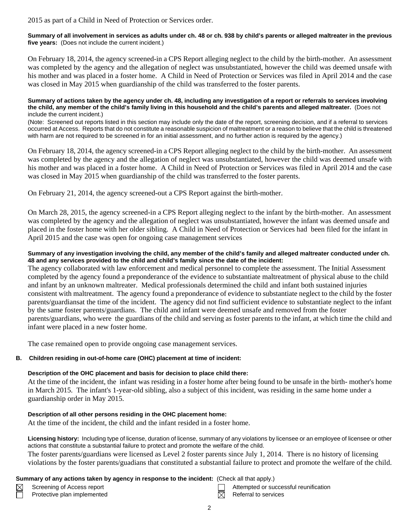2015 as part of a Child in Need of Protection or Services order.

**Summary of all involvement in services as adults under ch. 48 or ch. 938 by child's parents or alleged maltreater in the previous five years:** (Does not include the current incident.)

On February 18, 2014, the agency screened-in a CPS Report alleging neglect to the child by the birth-mother. An assessment was completed by the agency and the allegation of neglect was unsubstantiated, however the child was deemed unsafe with his mother and was placed in a foster home. A Child in Need of Protection or Services was filed in April 2014 and the case was closed in May 2015 when guardianship of the child was transferred to the foster parents.

**Summary of actions taken by the agency under ch. 48, including any investigation of a report or referrals to services involving the child, any member of the child's family living in this household and the child's parents and alleged maltreater.** (Does not include the current incident.)

(Note: Screened out reports listed in this section may include only the date of the report, screening decision, and if a referral to services occurred at Access. Reports that do not constitute a reasonable suspicion of maltreatment or a reason to believe that the child is threatened with harm are not required to be screened in for an initial assessment, and no further action is required by the agency.)

On February 18, 2014, the agency screened-in a CPS Report alleging neglect to the child by the birth-mother. An assessment was completed by the agency and the allegation of neglect was unsubstantiated, however the child was deemed unsafe with his mother and was placed in a foster home. A Child in Need of Protection or Services was filed in April 2014 and the case was closed in May 2015 when guardianship of the child was transferred to the foster parents.

On February 21, 2014, the agency screened-out a CPS Report against the birth-mother.

On March 28, 2015, the agency screened-in a CPS Report alleging neglect to the infant by the birth-mother. An assessment was completed by the agency and the allegation of neglect was unsubstantiated, however the infant was deemed unsafe and placed in the foster home with her older sibling. A Child in Need of Protection or Services had been filed for the infant in April 2015 and the case was open for ongoing case management services

#### **Summary of any investigation involving the child, any member of the child's family and alleged maltreater conducted under ch. 48 and any services provided to the child and child's family since the date of the incident:**

The agency collaborated with law enforcement and medical personnel to complete the assessment. The Initial Assessment completed by the agency found a preponderance of the evidence to substantiate maltreatment of physical abuse to the child and infant by an unknown maltreater. Medical professionals determined the child and infant both sustained injuries consistent with maltreatment. The agency found a preponderance of evidence to substantiate neglect to the child by the foster parents/guardiansat the time of the incident. The agency did not find sufficient evidence to substantiate neglect to the infant by the same foster parents/guardians. The child and infant were deemed unsafe and removed from the foster parents/guardians, who were the guardians of the child and serving as foster parents to the infant, at which time the child and infant were placed in a new foster home.

The case remained open to provide ongoing case management services.

#### **B. Children residing in out-of-home care (OHC) placement at time of incident:**

#### **Description of the OHC placement and basis for decision to place child there:**

At the time of the incident, the infant was residing in a foster home after being found to be unsafe in the birth- mother's home in March 2015. The infant's 1-year-old sibling, also a subject of this incident, was residing in the same home under a guardianship order in May 2015.

#### **Description of all other persons residing in the OHC placement home:**

At the time of the incident, the child and the infant resided in a foster home.

**Licensing history:** Including type of license, duration of license, summary of any violations by licensee or an employee of licensee or other actions that constitute a substantial failure to protect and promote the welfare of the child.

The foster parents/guardians were licensed as Level 2 foster parents since July 1, 2014. There is no history of licensing violations by the foster parents/guadians that constituted a substantial failure to protect and promote the welfare of the child.

#### **Summary of any actions taken by agency in response to the incident:** (Check all that apply.)

- Protective plan implemented  $\boxtimes$  Referral to services
- Screening of Access report Attempted or successful reunification
	-